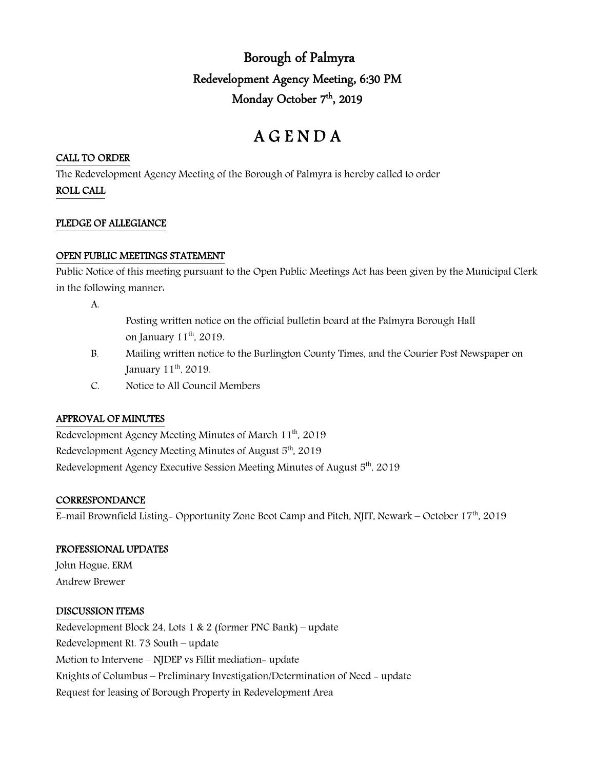## Borough of Palmyra Redevelopment Agency Meeting, 6:30 PM Monday October 7<sup>th</sup>, 2019

# A G E N D A

### CALL TO ORDER

The Redevelopment Agency Meeting of the Borough of Palmyra is hereby called to order

ROLL CALL

#### PLEDGE OF ALLEGIANCE

## OPEN PUBLIC MEETINGS STATEMENT

Public Notice of this meeting pursuant to the Open Public Meetings Act has been given by the Municipal Clerk in the following manner:

A.

- Posting written notice on the official bulletin board at the Palmyra Borough Hall on January 11<sup>th</sup>, 2019.
- B. Mailing written notice to the Burlington County Times, and the Courier Post Newspaper on January 11<sup>th</sup>, 2019.
- C. Notice to All Council Members

## APPROVAL OF MINUTES

Redevelopment Agency Meeting Minutes of March 11<sup>th</sup>, 2019 Redevelopment Agency Meeting Minutes of August 5<sup>th</sup>, 2019 Redevelopment Agency Executive Session Meeting Minutes of August 5th, 2019

## **CORRESPONDANCE**

E-mail Brownfield Listing- Opportunity Zone Boot Camp and Pitch, NJIT, Newark - October 17<sup>th</sup>, 2019

## PROFESSIONAL UPDATES

John Hogue, ERM Andrew Brewer

#### DISCUSSION ITEMS

Redevelopment Block 24, Lots 1 & 2 (former PNC Bank) – update Redevelopment Rt. 73 South – update Motion to Intervene – NJDEP vs Fillit mediation- update Knights of Columbus – Preliminary Investigation/Determination of Need - update Request for leasing of Borough Property in Redevelopment Area